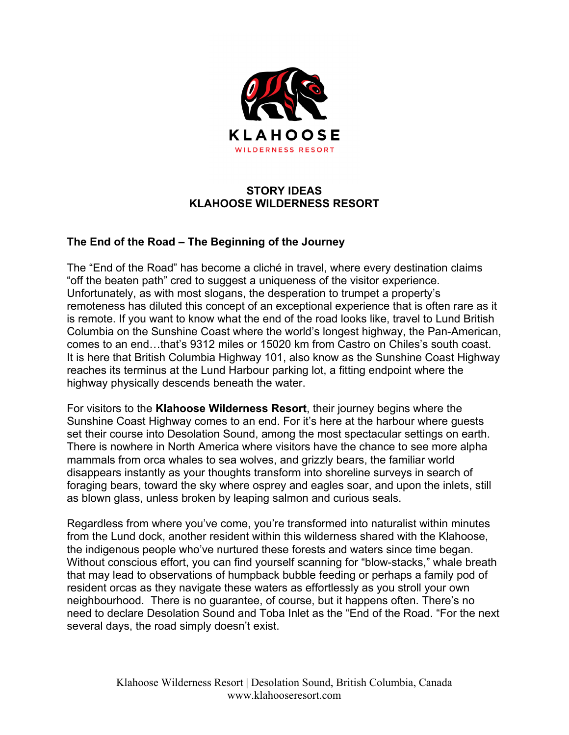

## **STORY IDEAS KLAHOOSE WILDERNESS RESORT**

## **The End of the Road – The Beginning of the Journey**

The "End of the Road" has become a cliché in travel, where every destination claims "off the beaten path" cred to suggest a uniqueness of the visitor experience. Unfortunately, as with most slogans, the desperation to trumpet a property's remoteness has diluted this concept of an exceptional experience that is often rare as it is remote. If you want to know what the end of the road looks like, travel to Lund British Columbia on the Sunshine Coast where the world's longest highway, the Pan-American, comes to an end…that's 9312 miles or 15020 km from Castro on Chiles's south coast. It is here that British Columbia Highway 101, also know as the Sunshine Coast Highway reaches its terminus at the Lund Harbour parking lot, a fitting endpoint where the highway physically descends beneath the water.

For visitors to the **Klahoose Wilderness Resort**, their journey begins where the Sunshine Coast Highway comes to an end. For it's here at the harbour where guests set their course into Desolation Sound, among the most spectacular settings on earth. There is nowhere in North America where visitors have the chance to see more alpha mammals from orca whales to sea wolves, and grizzly bears, the familiar world disappears instantly as your thoughts transform into shoreline surveys in search of foraging bears, toward the sky where osprey and eagles soar, and upon the inlets, still as blown glass, unless broken by leaping salmon and curious seals.

Regardless from where you've come, you're transformed into naturalist within minutes from the Lund dock, another resident within this wilderness shared with the Klahoose, the indigenous people who've nurtured these forests and waters since time began. Without conscious effort, you can find yourself scanning for "blow-stacks," whale breath that may lead to observations of humpback bubble feeding or perhaps a family pod of resident orcas as they navigate these waters as effortlessly as you stroll your own neighbourhood. There is no guarantee, of course, but it happens often. There's no need to declare Desolation Sound and Toba Inlet as the "End of the Road. "For the next several days, the road simply doesn't exist.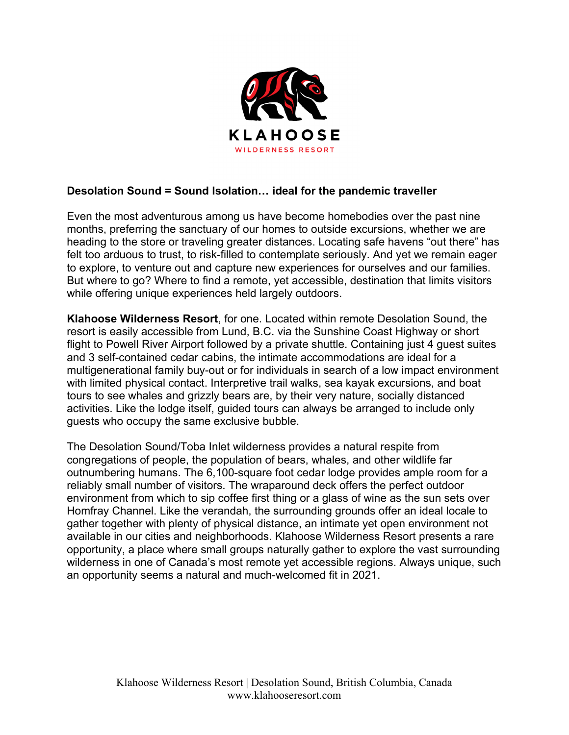

## **Desolation Sound = Sound Isolation… ideal for the pandemic traveller**

Even the most adventurous among us have become homebodies over the past nine months, preferring the sanctuary of our homes to outside excursions, whether we are heading to the store or traveling greater distances. Locating safe havens "out there" has felt too arduous to trust, to risk-filled to contemplate seriously. And yet we remain eager to explore, to venture out and capture new experiences for ourselves and our families. But where to go? Where to find a remote, yet accessible, destination that limits visitors while offering unique experiences held largely outdoors.

**Klahoose Wilderness Resort**, for one. Located within remote Desolation Sound, the resort is easily accessible from Lund, B.C. via the Sunshine Coast Highway or short flight to Powell River Airport followed by a private shuttle. Containing just 4 guest suites and 3 self-contained cedar cabins, the intimate accommodations are ideal for a multigenerational family buy-out or for individuals in search of a low impact environment with limited physical contact. Interpretive trail walks, sea kayak excursions, and boat tours to see whales and grizzly bears are, by their very nature, socially distanced activities. Like the lodge itself, guided tours can always be arranged to include only guests who occupy the same exclusive bubble.

The Desolation Sound/Toba Inlet wilderness provides a natural respite from congregations of people, the population of bears, whales, and other wildlife far outnumbering humans. The 6,100-square foot cedar lodge provides ample room for a reliably small number of visitors. The wraparound deck offers the perfect outdoor environment from which to sip coffee first thing or a glass of wine as the sun sets over Homfray Channel. Like the verandah, the surrounding grounds offer an ideal locale to gather together with plenty of physical distance, an intimate yet open environment not available in our cities and neighborhoods. Klahoose Wilderness Resort presents a rare opportunity, a place where small groups naturally gather to explore the vast surrounding wilderness in one of Canada's most remote yet accessible regions. Always unique, such an opportunity seems a natural and much-welcomed fit in 2021.